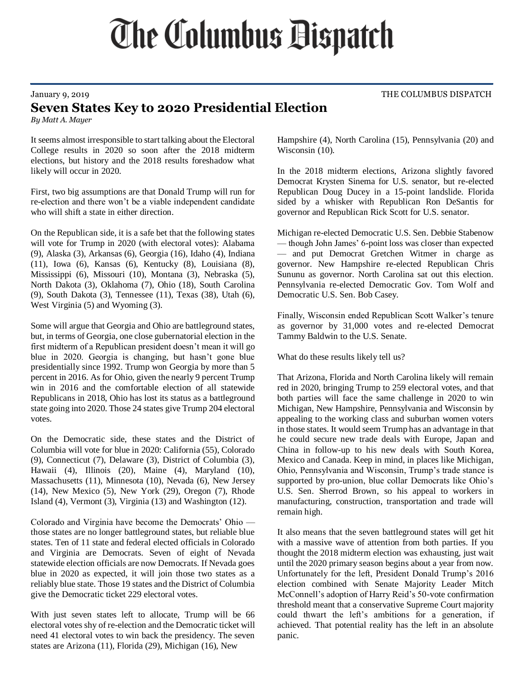## **The Columbus Dispatch**

## **Seven States Key to 2020 Presidential Election**

*By Matt A. Mayer*

It seems almost irresponsible to start talking about the Electoral College results in 2020 so soon after the 2018 midterm elections, but history and the 2018 results foreshadow what likely will occur in 2020.

First, two big assumptions are that Donald Trump will run for re-election and there won't be a viable independent candidate who will shift a state in either direction.

On the Republican side, it is a safe bet that the following states will vote for Trump in 2020 (with electoral votes): Alabama (9), Alaska (3), Arkansas (6), Georgia (16), Idaho (4), Indiana (11), Iowa (6), Kansas (6), Kentucky (8), Louisiana (8), Mississippi (6), Missouri (10), Montana (3), Nebraska (5), North Dakota (3), Oklahoma (7), Ohio (18), South Carolina (9), South Dakota (3), Tennessee (11), Texas (38), Utah (6), West Virginia (5) and Wyoming (3).

Some will argue that Georgia and Ohio are battleground states, but, in terms of Georgia, one close gubernatorial election in the first midterm of a Republican president doesn't mean it will go blue in 2020. Georgia is changing, but hasn't gone blue presidentially since 1992. Trump won Georgia by more than 5 percent in 2016. As for Ohio, given the nearly 9 percent Trump win in 2016 and the comfortable election of all statewide Republicans in 2018, Ohio has lost its status as a battleground state going into 2020. Those 24 states give Trump 204 electoral votes.

On the Democratic side, these states and the District of Columbia will vote for blue in 2020: California (55), Colorado (9), Connecticut (7), Delaware (3), District of Columbia (3), Hawaii (4), Illinois (20), Maine (4), Maryland (10), Massachusetts (11), Minnesota (10), Nevada (6), New Jersey (14), New Mexico (5), New York (29), Oregon (7), Rhode Island (4), Vermont (3), Virginia (13) and Washington (12).

Colorado and Virginia have become the Democrats' Ohio those states are no longer battleground states, but reliable blue states. Ten of 11 state and federal elected officials in Colorado and Virginia are Democrats. Seven of eight of Nevada statewide election officials are now Democrats. If Nevada goes blue in 2020 as expected, it will join those two states as a reliably blue state. Those 19 states and the District of Columbia give the Democratic ticket 229 electoral votes.

With just seven states left to allocate, Trump will be 66 electoral votes shy of re-election and the Democratic ticket will need 41 electoral votes to win back the presidency. The seven states are Arizona (11), Florida (29), Michigan (16), New

Hampshire (4), North Carolina (15), Pennsylvania (20) and Wisconsin (10).

In the 2018 midterm elections, Arizona slightly favored Democrat Krysten Sinema for U.S. senator, but re-elected Republican Doug Ducey in a 15-point landslide. Florida sided by a whisker with Republican Ron DeSantis for governor and Republican Rick Scott for U.S. senator.

Michigan re-elected Democratic U.S. Sen. Debbie Stabenow — though John James' 6-point loss was closer than expected — and put Democrat Gretchen Witmer in charge as governor. New Hampshire re-elected Republican Chris Sununu as governor. North Carolina sat out this election. Pennsylvania re-elected Democratic Gov. Tom Wolf and Democratic U.S. Sen. Bob Casey.

Finally, Wisconsin ended Republican Scott Walker's tenure as governor by 31,000 votes and re-elected Democrat Tammy Baldwin to the U.S. Senate.

What do these results likely tell us?

That Arizona, Florida and North Carolina likely will remain red in 2020, bringing Trump to 259 electoral votes, and that both parties will face the same challenge in 2020 to win Michigan, New Hampshire, Pennsylvania and Wisconsin by appealing to the working class and suburban women voters in those states. It would seem Trump has an advantage in that he could secure new trade deals with Europe, Japan and China in follow-up to his new deals with South Korea, Mexico and Canada. Keep in mind, in places like Michigan, Ohio, Pennsylvania and Wisconsin, Trump's trade stance is supported by pro-union, blue collar Democrats like Ohio's U.S. Sen. Sherrod Brown, so his appeal to workers in manufacturing, construction, transportation and trade will remain high.

It also means that the seven battleground states will get hit with a massive wave of attention from both parties. If you thought the 2018 midterm election was exhausting, just wait until the 2020 primary season begins about a year from now. Unfortunately for the left, President Donald Trump's 2016 election combined with Senate Majority Leader Mitch McConnell's adoption of Harry Reid's 50-vote confirmation threshold meant that a conservative Supreme Court majority could thwart the left's ambitions for a generation, if achieved. That potential reality has the left in an absolute panic.

January 9, 2019 **THE COLUMBUS DISPATCH**